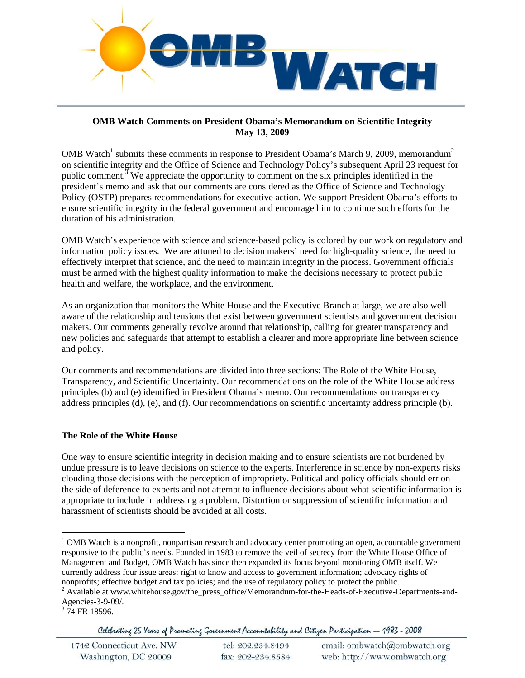

## **OMB Watch Comments on President Obama's Memorandum on Scientific Integrity May 13, 2009**

OMB Watch<sup>1</sup> submits these comments in response to President Obama's March 9, 2009, memorandum<sup>2</sup> on scientific integrity and the Office of Science and Technology Policy's subsequent April 23 request for public comment.<sup>3</sup> We appreciate the opportunity to comment on the six principles identified in the president's memo and ask that our comments are considered as the Office of Science and Technology Policy (OSTP) prepares recommendations for executive action. We support President Obama's efforts to ensure scientific integrity in the federal government and encourage him to continue such efforts for the duration of his administration.

OMB Watch's experience with science and science-based policy is colored by our work on regulatory and information policy issues. We are attuned to decision makers' need for high-quality science, the need to effectively interpret that science, and the need to maintain integrity in the process. Government officials must be armed with the highest quality information to make the decisions necessary to protect public health and welfare, the workplace, and the environment.

As an organization that monitors the White House and the Executive Branch at large, we are also well aware of the relationship and tensions that exist between government scientists and government decision makers. Our comments generally revolve around that relationship, calling for greater transparency and new policies and safeguards that attempt to establish a clearer and more appropriate line between science and policy.

Our comments and recommendations are divided into three sections: The Role of the White House, Transparency, and Scientific Uncertainty. Our recommendations on the role of the White House address principles (b) and (e) identified in President Obama's memo. Our recommendations on transparency address principles (d), (e), and (f). Our recommendations on scientific uncertainty address principle (b).

# **The Role of the White House**

One way to ensure scientific integrity in decision making and to ensure scientists are not burdened by undue pressure is to leave decisions on science to the experts. Interference in science by non-experts risks clouding those decisions with the perception of impropriety. Political and policy officials should err on the side of deference to experts and not attempt to influence decisions about what scientific information is appropriate to include in addressing a problem. Distortion or suppression of scientific information and harassment of scientists should be avoided at all costs.

 $\overline{a}$ 

Celebrating 25 Years of Promoting Government Accountability and Citizen Participation - 1983 - 2008

| 1742 Connecticut Ave. NW | tel: 202.234.8494 | email: ombwatch@ombwatch.org |
|--------------------------|-------------------|------------------------------|
| Washington, DC 20009     | fax: 202-234.8584 | web: http://www.ombwatch.org |

<sup>&</sup>lt;sup>1</sup> OMB Watch is a nonprofit, nonpartisan research and advocacy center promoting an open, accountable government responsive to the public's needs. Founded in 1983 to remove the veil of secrecy from the White House Office of Management and Budget, OMB Watch has since then expanded its focus beyond monitoring OMB itself. We currently address four issue areas: right to know and access to government information; advocacy rights of nonprofits; effective budget and tax policies; and the use of regulatory policy to protect the public. 2

<sup>&</sup>lt;sup>2</sup> Available at www.whitehouse.gov/the\_press\_office/Memorandum-for-the-Heads-of-Executive-Departments-and-Agencies-3-9-09/.

 $3\,74$  FR 18596.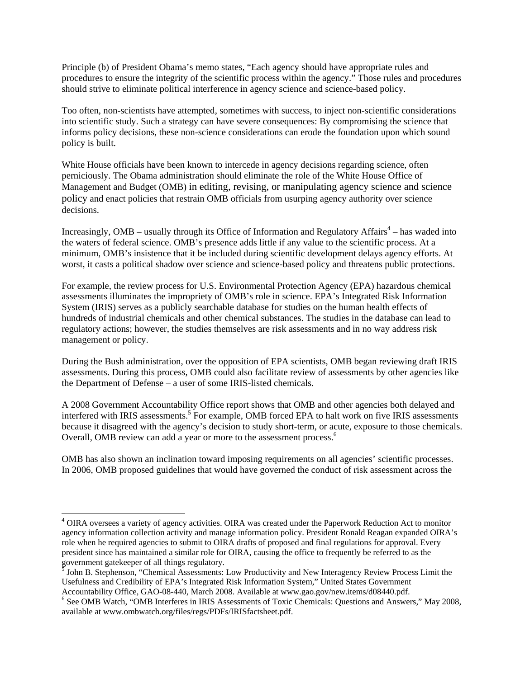Principle (b) of President Obama's memo states, "Each agency should have appropriate rules and procedures to ensure the integrity of the scientific process within the agency." Those rules and procedures should strive to eliminate political interference in agency science and science-based policy.

Too often, non-scientists have attempted, sometimes with success, to inject non-scientific considerations into scientific study. Such a strategy can have severe consequences: By compromising the science that informs policy decisions, these non-science considerations can erode the foundation upon which sound policy is built.

White House officials have been known to intercede in agency decisions regarding science, often perniciously. The Obama administration should eliminate the role of the White House Office of Management and Budget (OMB) in editing, revising, or manipulating agency science and science policy and enact policies that restrain OMB officials from usurping agency authority over science decisions.

Increasingly, OMB – usually through its Office of Information and Regulatory Affairs<sup>4</sup> – has waded into the waters of federal science. OMB's presence adds little if any value to the scientific process. At a minimum, OMB's insistence that it be included during scientific development delays agency efforts. At worst, it casts a political shadow over science and science-based policy and threatens public protections.

For example, the review process for U.S. Environmental Protection Agency (EPA) hazardous chemical assessments illuminates the impropriety of OMB's role in science. EPA's Integrated Risk Information System (IRIS) serves as a publicly searchable database for studies on the human health effects of hundreds of industrial chemicals and other chemical substances. The studies in the database can lead to regulatory actions; however, the studies themselves are risk assessments and in no way address risk management or policy.

During the Bush administration, over the opposition of EPA scientists, OMB began reviewing draft IRIS assessments. During this process, OMB could also facilitate review of assessments by other agencies like the Department of Defense – a user of some IRIS-listed chemicals.

A 2008 Government Accountability Office report shows that OMB and other agencies both delayed and interfered with IRIS assessments.<sup>5</sup> For example, OMB forced EPA to halt work on five IRIS assessments because it disagreed with the agency's decision to study short-term, or acute, exposure to those chemicals. Overall, OMB review can add a year or more to the assessment process.<sup>6</sup>

OMB has also shown an inclination toward imposing requirements on all agencies' scientific processes. In 2006, OMB proposed guidelines that would have governed the conduct of risk assessment across the

 $\overline{a}$ 

<sup>&</sup>lt;sup>4</sup> OIRA oversees a variety of agency activities. OIRA was created under the Paperwork Reduction Act to monitor agency information collection activity and manage information policy. President Ronald Reagan expanded OIRA's role when he required agencies to submit to OIRA drafts of proposed and final regulations for approval. Every president since has maintained a similar role for OIRA, causing the office to frequently be referred to as the government gatekeeper of all things regulatory. 5 John B. Stephenson, "Chemical Assessments: Low Productivity and New Interagency Review Process Limit the

Usefulness and Credibility of EPA's Integrated Risk Information System," United States Government Accountability Office, GAO-08-440, March 2008. Available at www.gao.gov/new.items/d08440.pdf. 6

<sup>&</sup>lt;sup>6</sup> See OMB Watch, "OMB Interferes in IRIS Assessments of Toxic Chemicals: Questions and Answers," May 2008, available at www.ombwatch.org/files/regs/PDFs/IRISfactsheet.pdf.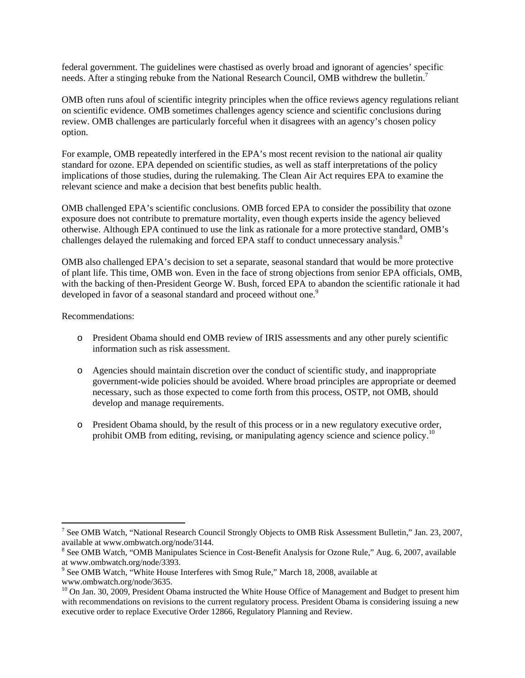federal government. The guidelines were chastised as overly broad and ignorant of agencies' specific needs. After a stinging rebuke from the National Research Council, OMB withdrew the bulletin.<sup>7</sup>

OMB often runs afoul of scientific integrity principles when the office reviews agency regulations reliant on scientific evidence. OMB sometimes challenges agency science and scientific conclusions during review. OMB challenges are particularly forceful when it disagrees with an agency's chosen policy option.

For example, OMB repeatedly interfered in the EPA's most recent revision to the national air quality standard for ozone. EPA depended on scientific studies, as well as staff interpretations of the policy implications of those studies, during the rulemaking. The Clean Air Act requires EPA to examine the relevant science and make a decision that best benefits public health.

OMB challenged EPA's scientific conclusions. OMB forced EPA to consider the possibility that ozone exposure does not contribute to premature mortality, even though experts inside the agency believed otherwise. Although EPA continued to use the link as rationale for a more protective standard, OMB's challenges delayed the rulemaking and forced EPA staff to conduct unnecessary analysis.<sup>8</sup>

OMB also challenged EPA's decision to set a separate, seasonal standard that would be more protective of plant life. This time, OMB won. Even in the face of strong objections from senior EPA officials, OMB, with the backing of then-President George W. Bush, forced EPA to abandon the scientific rationale it had developed in favor of a seasonal standard and proceed without one.<sup>9</sup>

Recommendations:

 $\overline{a}$ 

- o President Obama should end OMB review of IRIS assessments and any other purely scientific information such as risk assessment.
- o Agencies should maintain discretion over the conduct of scientific study, and inappropriate government-wide policies should be avoided. Where broad principles are appropriate or deemed necessary, such as those expected to come forth from this process, OSTP, not OMB, should develop and manage requirements.
- o President Obama should, by the result of this process or in a new regulatory executive order, prohibit OMB from editing, revising, or manipulating agency science and science policy.10

<sup>&</sup>lt;sup>7</sup> See OMB Watch, "National Research Council Strongly Objects to OMB Risk Assessment Bulletin," Jan. 23, 2007, available at www.ombwatch.org/node/3144. 8

<sup>&</sup>lt;sup>8</sup> See OMB Watch, "OMB Manipulates Science in Cost-Benefit Analysis for Ozone Rule," Aug. 6, 2007, available at www.ombwatch.org/node/3393.

<sup>&</sup>lt;sup>9</sup> See OMB Watch, "White House Interferes with Smog Rule," March 18, 2008, available at www.ombwatch.org/node/3635.

<sup>&</sup>lt;sup>10</sup> On Jan. 30, 2009, President Obama instructed the White House Office of Management and Budget to present him with recommendations on revisions to the current regulatory process. President Obama is considering issuing a new executive order to replace Executive Order 12866, Regulatory Planning and Review.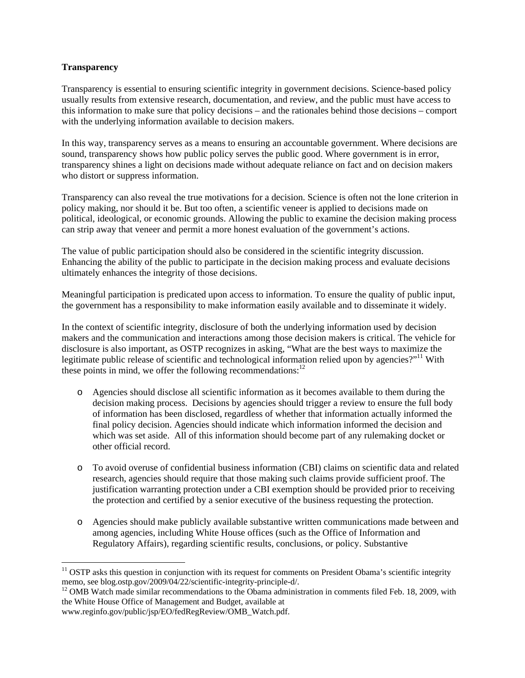## **Transparency**

 $\overline{a}$ 

Transparency is essential to ensuring scientific integrity in government decisions. Science-based policy usually results from extensive research, documentation, and review, and the public must have access to this information to make sure that policy decisions – and the rationales behind those decisions – comport with the underlying information available to decision makers.

In this way, transparency serves as a means to ensuring an accountable government. Where decisions are sound, transparency shows how public policy serves the public good. Where government is in error, transparency shines a light on decisions made without adequate reliance on fact and on decision makers who distort or suppress information.

Transparency can also reveal the true motivations for a decision. Science is often not the lone criterion in policy making, nor should it be. But too often, a scientific veneer is applied to decisions made on political, ideological, or economic grounds. Allowing the public to examine the decision making process can strip away that veneer and permit a more honest evaluation of the government's actions.

The value of public participation should also be considered in the scientific integrity discussion. Enhancing the ability of the public to participate in the decision making process and evaluate decisions ultimately enhances the integrity of those decisions.

Meaningful participation is predicated upon access to information. To ensure the quality of public input, the government has a responsibility to make information easily available and to disseminate it widely.

In the context of scientific integrity, disclosure of both the underlying information used by decision makers and the communication and interactions among those decision makers is critical. The vehicle for disclosure is also important, as OSTP recognizes in asking, "What are the best ways to maximize the legitimate public release of scientific and technological information relied upon by agencies?"<sup>11</sup> With these points in mind, we offer the following recommendations: $12$ 

- o Agencies should disclose all scientific information as it becomes available to them during the decision making process. Decisions by agencies should trigger a review to ensure the full body of information has been disclosed, regardless of whether that information actually informed the final policy decision. Agencies should indicate which information informed the decision and which was set aside. All of this information should become part of any rulemaking docket or other official record.
- o To avoid overuse of confidential business information (CBI) claims on scientific data and related research, agencies should require that those making such claims provide sufficient proof. The justification warranting protection under a CBI exemption should be provided prior to receiving the protection and certified by a senior executive of the business requesting the protection.
- o Agencies should make publicly available substantive written communications made between and among agencies, including White House offices (such as the Office of Information and Regulatory Affairs), regarding scientific results, conclusions, or policy. Substantive

<sup>&</sup>lt;sup>11</sup> OSTP asks this question in conjunction with its request for comments on President Obama's scientific integrity memo, see blog.ostp.gov/2009/04/22/scientific-integrity-principle-d/.

 $12$  OMB Watch made similar recommendations to the Obama administration in comments filed Feb. 18, 2009, with the White House Office of Management and Budget, available at www.reginfo.gov/public/jsp/EO/fedRegReview/OMB\_Watch.pdf.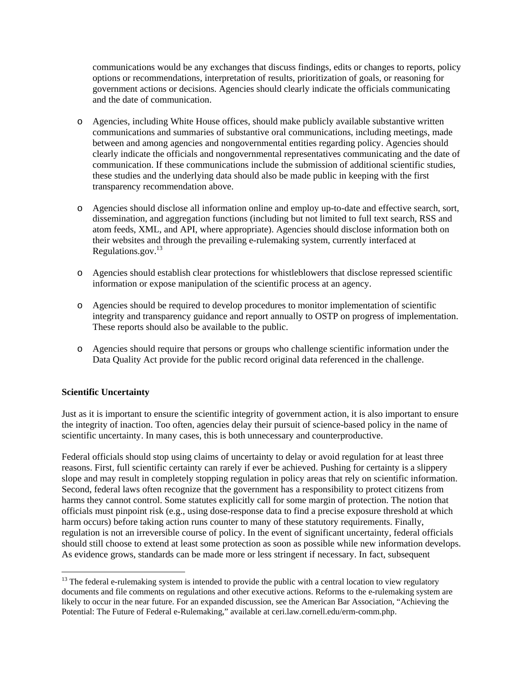communications would be any exchanges that discuss findings, edits or changes to reports, policy options or recommendations, interpretation of results, prioritization of goals, or reasoning for government actions or decisions. Agencies should clearly indicate the officials communicating and the date of communication.

- o Agencies, including White House offices, should make publicly available substantive written communications and summaries of substantive oral communications, including meetings, made between and among agencies and nongovernmental entities regarding policy. Agencies should clearly indicate the officials and nongovernmental representatives communicating and the date of communication. If these communications include the submission of additional scientific studies, these studies and the underlying data should also be made public in keeping with the first transparency recommendation above.
- o Agencies should disclose all information online and employ up-to-date and effective search, sort, dissemination, and aggregation functions (including but not limited to full text search, RSS and atom feeds, XML, and API, where appropriate). Agencies should disclose information both on their websites and through the prevailing e-rulemaking system, currently interfaced at Regulations.gov. $^{13}$
- o Agencies should establish clear protections for whistleblowers that disclose repressed scientific information or expose manipulation of the scientific process at an agency.
- o Agencies should be required to develop procedures to monitor implementation of scientific integrity and transparency guidance and report annually to OSTP on progress of implementation. These reports should also be available to the public.
- o Agencies should require that persons or groups who challenge scientific information under the Data Quality Act provide for the public record original data referenced in the challenge.

## **Scientific Uncertainty**

 $\overline{a}$ 

Just as it is important to ensure the scientific integrity of government action, it is also important to ensure the integrity of inaction. Too often, agencies delay their pursuit of science-based policy in the name of scientific uncertainty. In many cases, this is both unnecessary and counterproductive.

Federal officials should stop using claims of uncertainty to delay or avoid regulation for at least three reasons. First, full scientific certainty can rarely if ever be achieved. Pushing for certainty is a slippery slope and may result in completely stopping regulation in policy areas that rely on scientific information. Second, federal laws often recognize that the government has a responsibility to protect citizens from harms they cannot control. Some statutes explicitly call for some margin of protection. The notion that officials must pinpoint risk (e.g., using dose-response data to find a precise exposure threshold at which harm occurs) before taking action runs counter to many of these statutory requirements. Finally, regulation is not an irreversible course of policy. In the event of significant uncertainty, federal officials should still choose to extend at least some protection as soon as possible while new information develops. As evidence grows, standards can be made more or less stringent if necessary. In fact, subsequent

 $13$  The federal e-rulemaking system is intended to provide the public with a central location to view regulatory documents and file comments on regulations and other executive actions. Reforms to the e-rulemaking system are likely to occur in the near future. For an expanded discussion, see the American Bar Association, "Achieving the Potential: The Future of Federal e-Rulemaking," available at ceri.law.cornell.edu/erm-comm.php.